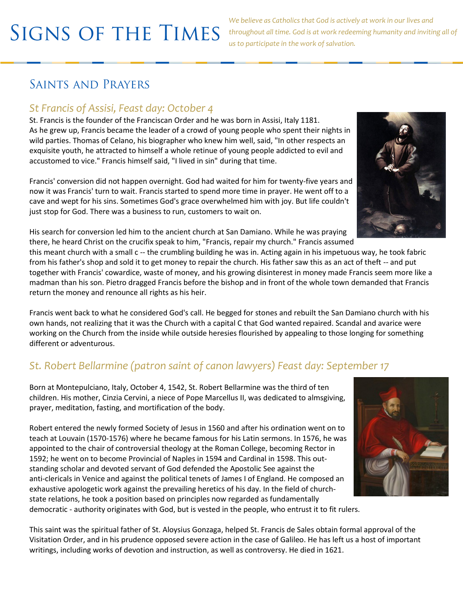*We believe as Catholics that God is actively at work in our lives and throughout all time. God is at work redeeming humanity and inviting all of us to participate in the work of salvation.* 

# SAINTS AND PRAYERS

### *St Francis of Assisi, Feast day: October 4*

St. Francis is the founder of the Franciscan Order and he was born in Assisi, Italy 1181. As he grew up, Francis became the leader of a crowd of young people who spent their nights in wild parties. Thomas of Celano, his biographer who knew him well, said, "In other respects an exquisite youth, he attracted to himself a whole retinue of young people addicted to evil and accustomed to vice." Francis himself said, "I lived in sin" during that time.

Francis' conversion did not happen overnight. God had waited for him for twenty-five years and now it was Francis' turn to wait. Francis started to spend more time in prayer. He went off to a cave and wept for his sins. Sometimes God's grace overwhelmed him with joy. But life couldn't just stop for God. There was a business to run, customers to wait on.



His search for conversion led him to the ancient church at San Damiano. While he was praying there, he heard Christ on the crucifix speak to him, "Francis, repair my church." Francis assumed

this meant church with a small c -- the crumbling building he was in. Acting again in his impetuous way, he took fabric from his father's shop and sold it to get money to repair the church. His father saw this as an act of theft -- and put together with Francis' cowardice, waste of money, and his growing disinterest in money made Francis seem more like a madman than his son. Pietro dragged Francis before the bishop and in front of the whole town demanded that Francis return the money and renounce all rights as his heir.

Francis went back to what he considered God's call. He begged for stones and rebuilt the San Damiano church with his own hands, not realizing that it was the Church with a capital C that God wanted repaired. Scandal and avarice were working on the Church from the inside while outside heresies flourished by appealing to those longing for something different or adventurous.

### *St. Robert Bellarmine (patron saint of canon lawyers) Feast day: September 17*

Born at Montepulciano, Italy, October 4, 1542, St. Robert Bellarmine was the third of ten children. His mother, Cinzia Cervini, a niece of Pope Marcellus II, was dedicated to almsgiving, prayer, meditation, fasting, and mortification of the body.

Robert entered the newly formed Society of Jesus in 1560 and after his ordination went on to teach at Louvain (1570-1576) where he became famous for his Latin sermons. In 1576, he was appointed to the chair of controversial theology at the Roman College, becoming Rector in 1592; he went on to become Provincial of Naples in 1594 and Cardinal in 1598. This outstanding scholar and devoted servant of God defended the Apostolic See against the anti-clericals in Venice and against the political tenets of James I of England. He composed an exhaustive apologetic work against the prevailing heretics of his day. In the field of churchstate relations, he took a position based on principles now regarded as fundamentally democratic - authority originates with God, but is vested in the people, who entrust it to fit rulers.

This saint was the spiritual father of St. Aloysius Gonzaga, helped St. Francis de Sales obtain formal approval of the Visitation Order, and in his prudence opposed severe action in the case of Galileo. He has left us a host of important writings, including works of devotion and instruction, as well as controversy. He died in 1621.